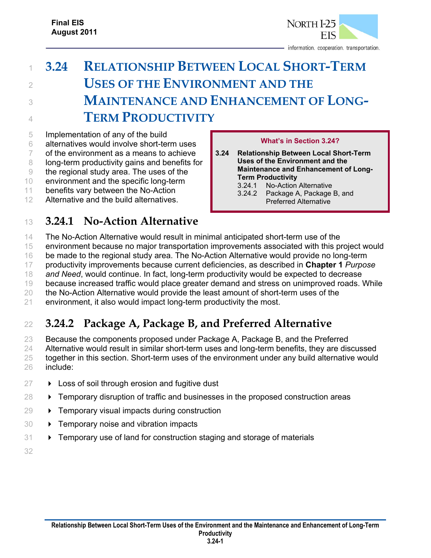

# <sup>1</sup> **3.24 RELATIONSHIP BETWEEN LOCAL SHORT-TERM**  <sup>2</sup> **USES OF THE ENVIRONMENT AND THE**  <sup>3</sup> **MAINTENANCE AND ENHANCEMENT OF LONG-**<sup>4</sup> **TERM PRODUCTIVITY**

 Implementation of any of the build alternatives would involve short-term uses of the environment as a means to achieve 8 long-term productivity gains and benefits for the regional study area. The uses of the environment and the specific long-term

- 11 benefits vary between the No-Action
- 12 Alternative and the build alternatives.

#### <sup>13</sup> **3.24.1 No-Action Alternative**

#### **What's in Section 3.24?**

- **3.24 Relationship Between Local Short-Term Uses of the Environment and the Maintenance and Enhancement of Long-Term Productivity** 
	- 3.24.1 No-Action Alternative
	- 3.24.2 Package A, Package B, and Preferred Alternative
- 14 The No-Action Alternative would result in minimal anticipated short-term use of the
- 15 environment because no major transportation improvements associated with this project would
- 16 be made to the regional study area. The No-Action Alternative would provide no long-term
- 17 productivity improvements because current deficiencies, as described in **Chapter 1** *Purpose*
- 18 *and Need*, would continue. In fact, long-term productivity would be expected to decrease
- 19 because increased traffic would place greater demand and stress on unimproved roads. While
- 20 the No-Action Alternative would provide the least amount of short-term uses of the

## 21 environment, it also would impact long-term productivity the most.

### <sup>22</sup> **3.24.2 Package A, Package B, and Preferred Alternative**

 Because the components proposed under Package A, Package B, and the Preferred 24 Alternative would result in similar short-term uses and long-term benefits, they are discussed together in this section. Short-term uses of the environment under any build alternative would include:

- $27 \rightarrow$  Loss of soil through erosion and fugitive dust
- 28  **Temporary disruption of traffic and businesses in the proposed construction areas**
- 29 → Temporary visual impacts during construction
- 30 > Temporary noise and vibration impacts
- 31  **Temporary use of land for construction staging and storage of materials**
- 32